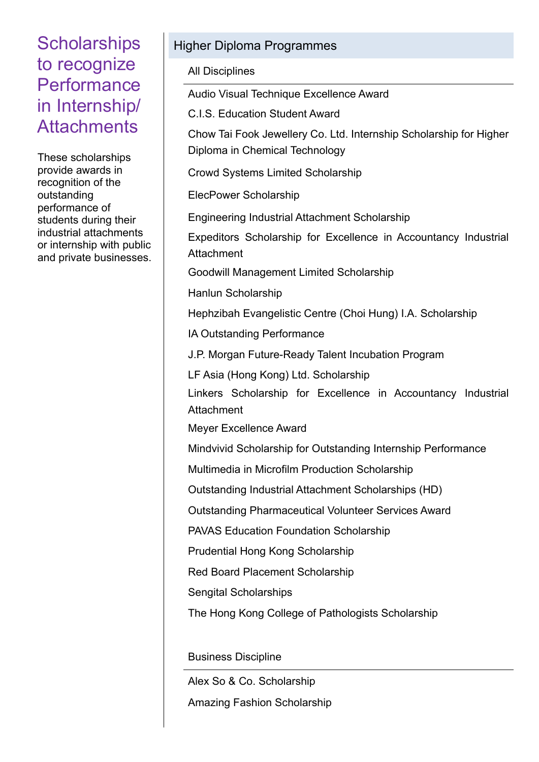These scholarships provide awards in recognition of the outstanding performance of students during their industrial attachments or internship with public and private businesses.

#### Higher Diploma Programmes

All Disciplines

Audio Visual Technique Excellence Award

C.I.S. Education Student Award

Chow Tai Fook Jewellery Co. Ltd. Internship Scholarship for Higher Diploma in Chemical Technology

Crowd Systems Limited Scholarship

ElecPower Scholarship

Engineering Industrial Attachment Scholarship

Expeditors Scholarship for Excellence in Accountancy Industrial **Attachment** 

Goodwill Management Limited Scholarship

Hanlun Scholarship

Hephzibah Evangelistic Centre (Choi Hung) I.A. Scholarship

IA Outstanding Performance

J.P. Morgan Future-Ready Talent Incubation Program

LF Asia (Hong Kong) Ltd. Scholarship

 Linkers Scholarship for Excellence in Accountancy Industrial **Attachment** 

Meyer Excellence Award

Mindvivid Scholarship for Outstanding Internship Performance

Multimedia in Microfilm Production Scholarship

Outstanding Industrial Attachment Scholarships (HD)

Outstanding Pharmaceutical Volunteer Services Award

PAVAS Education Foundation Scholarship

Prudential Hong Kong Scholarship

Red Board Placement Scholarship

Sengital Scholarships

The Hong Kong College of Pathologists Scholarship

Business Discipline

Alex So & Co. Scholarship

Amazing Fashion Scholarship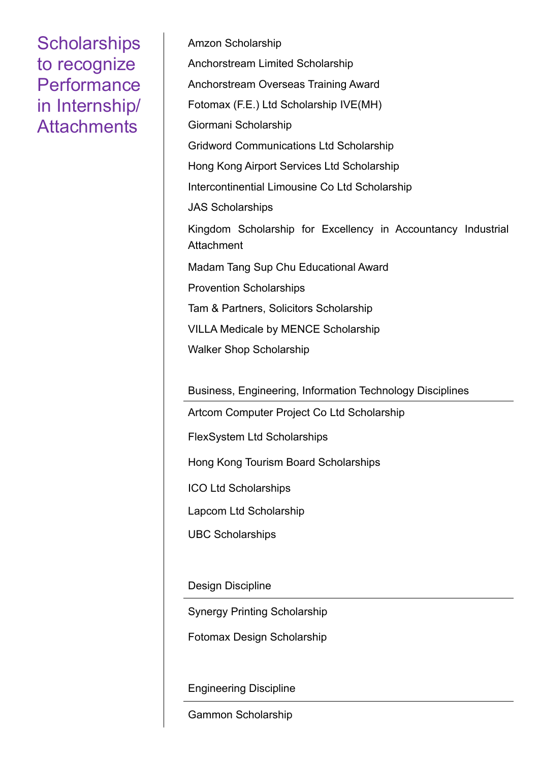Amzon Scholarship Anchorstream Limited Scholarship Anchorstream Overseas Training Award Fotomax (F.E.) Ltd Scholarship IVE(MH) Giormani Scholarship Gridword Communications Ltd Scholarship Hong Kong Airport Services Ltd Scholarship Intercontinential Limousine Co Ltd Scholarship JAS Scholarships Kingdom Scholarship for Excellency in Accountancy Industrial **Attachment** Madam Tang Sup Chu Educational Award Provention Scholarships Tam & Partners, Solicitors Scholarship VILLA Medicale by MENCE Scholarship Walker Shop Scholarship

Business, Engineering, Information Technology Disciplines

Artcom Computer Project Co Ltd Scholarship

FlexSystem Ltd Scholarships

Hong Kong Tourism Board Scholarships

ICO Ltd Scholarships

Lapcom Ltd Scholarship

UBC Scholarships

Design Discipline

Synergy Printing Scholarship

Fotomax Design Scholarship

Engineering Discipline

Gammon Scholarship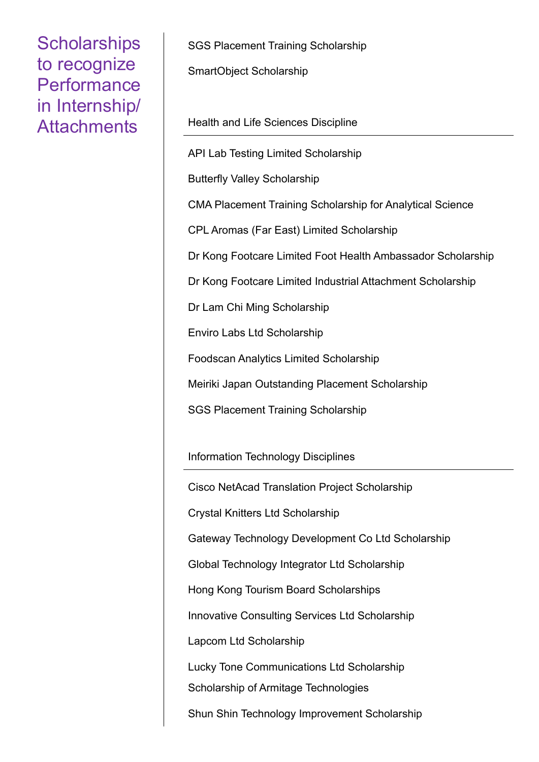SGS Placement Training Scholarship

SmartObject Scholarship

Health and Life Sciences Discipline

API Lab Testing Limited Scholarship Butterfly Valley Scholarship CMA Placement Training Scholarship for Analytical Science CPL Aromas (Far East) Limited Scholarship Dr Kong Footcare Limited Foot Health Ambassador Scholarship Dr Kong Footcare Limited Industrial Attachment Scholarship Dr Lam Chi Ming Scholarship Enviro Labs Ltd Scholarship Foodscan Analytics Limited Scholarship Meiriki Japan Outstanding Placement Scholarship

SGS Placement Training Scholarship

Information Technology Disciplines

Cisco NetAcad Translation Project Scholarship Crystal Knitters Ltd Scholarship Gateway Technology Development Co Ltd Scholarship Global Technology Integrator Ltd Scholarship Hong Kong Tourism Board Scholarships Innovative Consulting Services Ltd Scholarship Lapcom Ltd Scholarship Lucky Tone Communications Ltd Scholarship Scholarship of Armitage Technologies Shun Shin Technology Improvement Scholarship